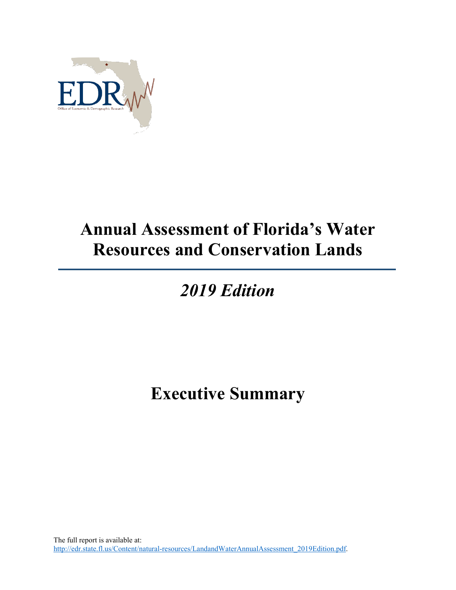

## **Annual Assessment of Florida's Water Resources and Conservation Lands**

## *2019 Edition*

## **Executive Summary**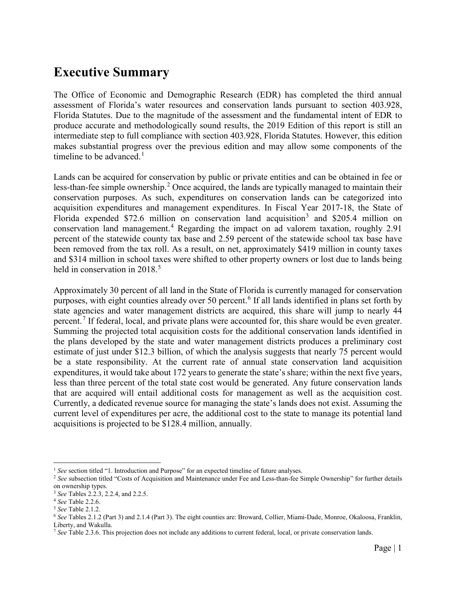## **Executive Summary**

The Office of Economic and Demographic Research (EDR) has completed the third annual assessment of Florida's water resources and conservation lands pursuant to section 403.928, Florida Statutes. Due to the magnitude of the assessment and the fundamental intent of EDR to produce accurate and methodologically sound results, the 2019 Edition of this report is still an intermediate step to full compliance with section 403.928, Florida Statutes. However, this edition makes substantial progress over the previous edition and may allow some components of the timeline to be advanced.<sup>[1](#page-1-0)</sup>

Lands can be acquired for conservation by public or private entities and can be obtained in fee or less-than-fee simple ownership.<sup>[2](#page-1-1)</sup> Once acquired, the lands are typically managed to maintain their conservation purposes. As such, expenditures on conservation lands can be categorized into acquisition expenditures and management expenditures. In Fiscal Year 2017-18, the State of Florida expended \$72.6 million on conservation land acquisition<sup>[3](#page-1-2)</sup> and \$205.4 million on conservation land management.[4](#page-1-3) Regarding the impact on ad valorem taxation, roughly 2.91 percent of the statewide county tax base and 2.59 percent of the statewide school tax base have been removed from the tax roll. As a result, on net, approximately \$419 million in county taxes and \$314 million in school taxes were shifted to other property owners or lost due to lands being held in conservation in  $2018.<sup>5</sup>$  $2018.<sup>5</sup>$  $2018.<sup>5</sup>$ 

Approximately 30 percent of all land in the State of Florida is currently managed for conservation purposes, with eight counties already over 50 percent.<sup>[6](#page-1-5)</sup> If all lands identified in plans set forth by state agencies and water management districts are acquired, this share will jump to nearly 44 percent.<sup>[7](#page-1-6)</sup> If federal, local, and private plans were accounted for, this share would be even greater. Summing the projected total acquisition costs for the additional conservation lands identified in the plans developed by the state and water management districts produces a preliminary cost estimate of just under \$12.3 billion, of which the analysis suggests that nearly 75 percent would be a state responsibility. At the current rate of annual state conservation land acquisition expenditures, it would take about 172 years to generate the state's share; within the next five years, less than three percent of the total state cost would be generated. Any future conservation lands that are acquired will entail additional costs for management as well as the acquisition cost. Currently, a dedicated revenue source for managing the state's lands does not exist. Assuming the current level of expenditures per acre, the additional cost to the state to manage its potential land acquisitions is projected to be \$128.4 million, annually.

<sup>&</sup>lt;sup>1</sup> See section titled "1. Introduction and Purpose" for an expected timeline of future analyses.

<span id="page-1-1"></span><span id="page-1-0"></span><sup>&</sup>lt;sup>2</sup> See subsection titled "Costs of Acquisition and Maintenance under Fee and Less-than-fee Simple Ownership" for further details on ownership types.

<span id="page-1-2"></span><sup>3</sup> *See* Tables 2.2.3, 2.2.4, and 2.2.5.

<span id="page-1-3"></span><sup>4</sup> *See* Table 2.2.6.

<span id="page-1-4"></span><sup>5</sup> *See* Table 2.1.2.

<span id="page-1-5"></span><sup>6</sup> *See* Tables 2.1.2 (Part 3) and 2.1.4 (Part 3). The eight counties are: Broward, Collier, Miami-Dade, Monroe, Okaloosa, Franklin, Liberty, and Wakulla.

<span id="page-1-6"></span><sup>7</sup> *See* Table 2.3.6. This projection does not include any additions to current federal, local, or private conservation lands.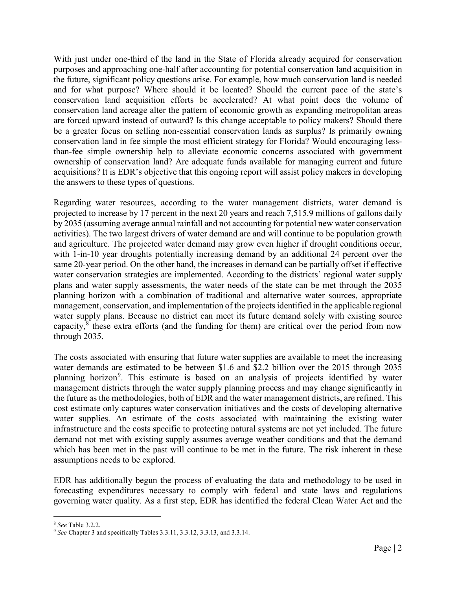With just under one-third of the land in the State of Florida already acquired for conservation purposes and approaching one-half after accounting for potential conservation land acquisition in the future, significant policy questions arise. For example, how much conservation land is needed and for what purpose? Where should it be located? Should the current pace of the state's conservation land acquisition efforts be accelerated? At what point does the volume of conservation land acreage alter the pattern of economic growth as expanding metropolitan areas are forced upward instead of outward? Is this change acceptable to policy makers? Should there be a greater focus on selling non-essential conservation lands as surplus? Is primarily owning conservation land in fee simple the most efficient strategy for Florida? Would encouraging lessthan-fee simple ownership help to alleviate economic concerns associated with government ownership of conservation land? Are adequate funds available for managing current and future acquisitions? It is EDR's objective that this ongoing report will assist policy makers in developing the answers to these types of questions.

Regarding water resources, according to the water management districts, water demand is projected to increase by 17 percent in the next 20 years and reach 7,515.9 millions of gallons daily by 2035 (assuming average annual rainfall and not accounting for potential new water conservation activities). The two largest drivers of water demand are and will continue to be population growth and agriculture. The projected water demand may grow even higher if drought conditions occur, with 1-in-10 year droughts potentially increasing demand by an additional 24 percent over the same 20-year period. On the other hand, the increases in demand can be partially offset if effective water conservation strategies are implemented. According to the districts' regional water supply plans and water supply assessments, the water needs of the state can be met through the 2035 planning horizon with a combination of traditional and alternative water sources, appropriate management, conservation, and implementation of the projects identified in the applicable regional water supply plans. Because no district can meet its future demand solely with existing source capacity, $8$  these extra efforts (and the funding for them) are critical over the period from now through 2035.

The costs associated with ensuring that future water supplies are available to meet the increasing water demands are estimated to be between \$1.6 and \$2.2 billion over the 2015 through 2035 planning horizon<sup>[9](#page-2-1)</sup>. This estimate is based on an analysis of projects identified by water management districts through the water supply planning process and may change significantly in the future as the methodologies, both of EDR and the water management districts, are refined. This cost estimate only captures water conservation initiatives and the costs of developing alternative water supplies. An estimate of the costs associated with maintaining the existing water infrastructure and the costs specific to protecting natural systems are not yet included. The future demand not met with existing supply assumes average weather conditions and that the demand which has been met in the past will continue to be met in the future. The risk inherent in these assumptions needs to be explored.

EDR has additionally begun the process of evaluating the data and methodology to be used in forecasting expenditures necessary to comply with federal and state laws and regulations governing water quality. As a first step, EDR has identified the federal Clean Water Act and the

<span id="page-2-0"></span> <sup>8</sup> *See* Table 3.2.2.

<span id="page-2-1"></span><sup>9</sup> *See* Chapter 3 and specifically Tables 3.3.11, 3.3.12, 3.3.13, and 3.3.14.